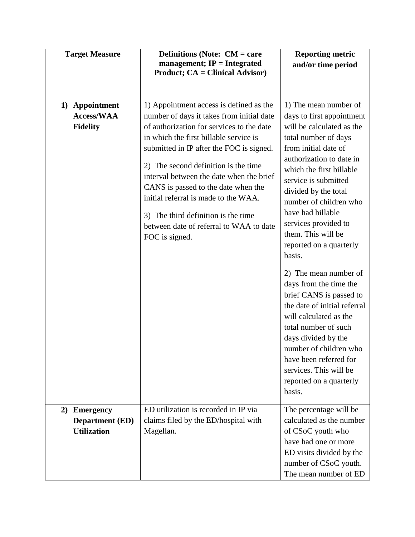| <b>Target Measure</b>                                                  | <b>Definitions (Note: CM = care</b><br>management; $IP = Integrated$<br><b>Product; CA = Clinical Advisor)</b>                                                                                                                                                                                                                                                                                                                                                                                 | <b>Reporting metric</b><br>and/or time period                                                                                                                                                                                                                                                                                                                                                                                                                                                                                                                                                                                                                                       |
|------------------------------------------------------------------------|------------------------------------------------------------------------------------------------------------------------------------------------------------------------------------------------------------------------------------------------------------------------------------------------------------------------------------------------------------------------------------------------------------------------------------------------------------------------------------------------|-------------------------------------------------------------------------------------------------------------------------------------------------------------------------------------------------------------------------------------------------------------------------------------------------------------------------------------------------------------------------------------------------------------------------------------------------------------------------------------------------------------------------------------------------------------------------------------------------------------------------------------------------------------------------------------|
| Appointment<br>1)<br><b>Access/WAA</b><br><b>Fidelity</b>              | 1) Appointment access is defined as the<br>number of days it takes from initial date<br>of authorization for services to the date<br>in which the first billable service is<br>submitted in IP after the FOC is signed.<br>2) The second definition is the time<br>interval between the date when the brief<br>CANS is passed to the date when the<br>initial referral is made to the WAA.<br>3) The third definition is the time<br>between date of referral to WAA to date<br>FOC is signed. | 1) The mean number of<br>days to first appointment<br>will be calculated as the<br>total number of days<br>from initial date of<br>authorization to date in<br>which the first billable<br>service is submitted<br>divided by the total<br>number of children who<br>have had billable<br>services provided to<br>them. This will be<br>reported on a quarterly<br>basis.<br>2) The mean number of<br>days from the time the<br>brief CANS is passed to<br>the date of initial referral<br>will calculated as the<br>total number of such<br>days divided by the<br>number of children who<br>have been referred for<br>services. This will be<br>reported on a quarterly<br>basis. |
| <b>Emergency</b><br>2)<br><b>Department</b> (ED)<br><b>Utilization</b> | ED utilization is recorded in IP via<br>claims filed by the ED/hospital with<br>Magellan.                                                                                                                                                                                                                                                                                                                                                                                                      | The percentage will be<br>calculated as the number<br>of CSoC youth who<br>have had one or more<br>ED visits divided by the<br>number of CSoC youth.<br>The mean number of ED                                                                                                                                                                                                                                                                                                                                                                                                                                                                                                       |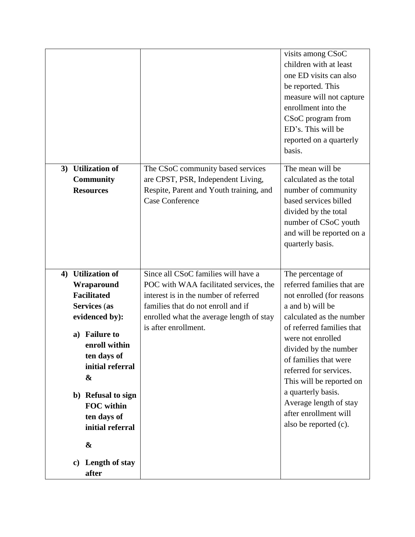|                                                                                                                                                                                                                                                                |                                                                                                                                                                                                                                  | visits among CSoC<br>children with at least<br>one ED visits can also<br>be reported. This<br>measure will not capture<br>enrollment into the<br>CSoC program from<br>ED's. This will be<br>reported on a quarterly<br>basis.                                                                                                                                                            |
|----------------------------------------------------------------------------------------------------------------------------------------------------------------------------------------------------------------------------------------------------------------|----------------------------------------------------------------------------------------------------------------------------------------------------------------------------------------------------------------------------------|------------------------------------------------------------------------------------------------------------------------------------------------------------------------------------------------------------------------------------------------------------------------------------------------------------------------------------------------------------------------------------------|
| 3) Utilization of<br><b>Community</b><br><b>Resources</b>                                                                                                                                                                                                      | The CSoC community based services<br>are CPST, PSR, Independent Living,<br>Respite, Parent and Youth training, and<br><b>Case Conference</b>                                                                                     | The mean will be<br>calculated as the total<br>number of community<br>based services billed<br>divided by the total<br>number of CSoC youth<br>and will be reported on a<br>quarterly basis.                                                                                                                                                                                             |
| 4) Utilization of<br>Wraparound<br><b>Facilitated</b><br>Services (as<br>evidenced by):<br><b>Failure to</b><br>a)<br>enroll within<br>ten days of<br>initial referral<br>&<br>b) Refusal to sign<br><b>FOC</b> within<br>ten days of<br>initial referral<br>& | Since all CSoC families will have a<br>POC with WAA facilitated services, the<br>interest is in the number of referred<br>families that do not enroll and if<br>enrolled what the average length of stay<br>is after enrollment. | The percentage of<br>referred families that are<br>not enrolled (for reasons<br>a and b) will be<br>calculated as the number<br>of referred families that<br>were not enrolled<br>divided by the number<br>of families that were<br>referred for services.<br>This will be reported on<br>a quarterly basis.<br>Average length of stay<br>after enrollment will<br>also be reported (c). |
| Length of stay<br>$\mathbf{c})$<br>after                                                                                                                                                                                                                       |                                                                                                                                                                                                                                  |                                                                                                                                                                                                                                                                                                                                                                                          |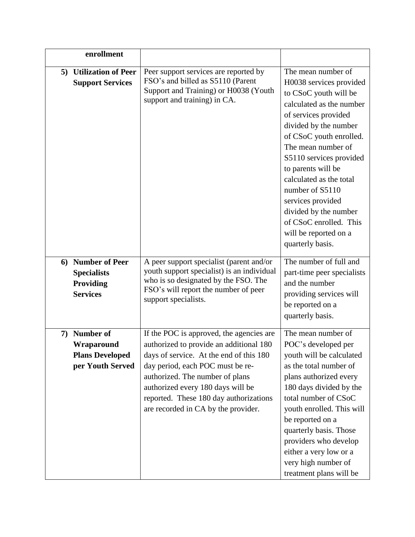| enrollment                                                                         |                                                                                                                                                                                                                                                                                                                             |                                                                                                                                                                                                                                                                                                                                                                                                                          |
|------------------------------------------------------------------------------------|-----------------------------------------------------------------------------------------------------------------------------------------------------------------------------------------------------------------------------------------------------------------------------------------------------------------------------|--------------------------------------------------------------------------------------------------------------------------------------------------------------------------------------------------------------------------------------------------------------------------------------------------------------------------------------------------------------------------------------------------------------------------|
| <b>Utilization of Peer</b><br>5)<br><b>Support Services</b>                        | Peer support services are reported by<br>FSO's and billed as S5110 (Parent<br>Support and Training) or H0038 (Youth<br>support and training) in CA.                                                                                                                                                                         | The mean number of<br>H0038 services provided<br>to CSoC youth will be<br>calculated as the number<br>of services provided<br>divided by the number<br>of CSoC youth enrolled.<br>The mean number of<br>S5110 services provided<br>to parents will be<br>calculated as the total<br>number of S5110<br>services provided<br>divided by the number<br>of CSoC enrolled. This<br>will be reported on a<br>quarterly basis. |
| 6) Number of Peer<br><b>Specialists</b><br>Providing<br><b>Services</b>            | A peer support specialist (parent and/or<br>youth support specialist) is an individual<br>who is so designated by the FSO. The<br>FSO's will report the number of peer<br>support specialists.                                                                                                                              | The number of full and<br>part-time peer specialists<br>and the number<br>providing services will<br>be reported on a<br>quarterly basis.                                                                                                                                                                                                                                                                                |
| <b>Number of</b><br>7)<br>Wraparound<br><b>Plans Developed</b><br>per Youth Served | If the POC is approved, the agencies are<br>authorized to provide an additional 180<br>days of service. At the end of this 180<br>day period, each POC must be re-<br>authorized. The number of plans<br>authorized every 180 days will be<br>reported. These 180 day authorizations<br>are recorded in CA by the provider. | The mean number of<br>POC's developed per<br>youth will be calculated<br>as the total number of<br>plans authorized every<br>180 days divided by the<br>total number of CSoC<br>youth enrolled. This will<br>be reported on a<br>quarterly basis. Those<br>providers who develop<br>either a very low or a<br>very high number of<br>treatment plans will be                                                             |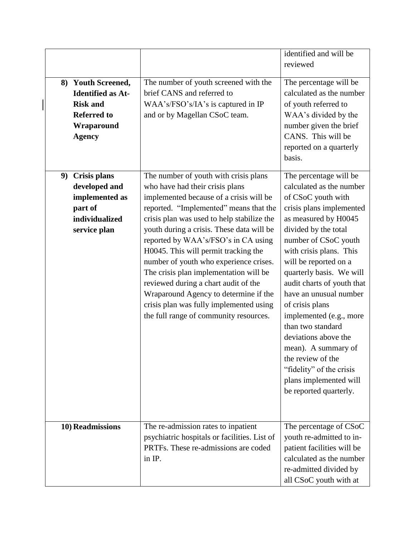|    |                                                                                                                        |                                                                                                                                                                                                                                                                                                                                                                                                                                                                                                                                                                                                   | identified and will be<br>reviewed                                                                                                                                                                                                                                                                                                                                                                                                                                                                                                          |
|----|------------------------------------------------------------------------------------------------------------------------|---------------------------------------------------------------------------------------------------------------------------------------------------------------------------------------------------------------------------------------------------------------------------------------------------------------------------------------------------------------------------------------------------------------------------------------------------------------------------------------------------------------------------------------------------------------------------------------------------|---------------------------------------------------------------------------------------------------------------------------------------------------------------------------------------------------------------------------------------------------------------------------------------------------------------------------------------------------------------------------------------------------------------------------------------------------------------------------------------------------------------------------------------------|
|    | 8) Youth Screened,<br><b>Identified as At-</b><br><b>Risk and</b><br><b>Referred to</b><br>Wraparound<br><b>Agency</b> | The number of youth screened with the<br>brief CANS and referred to<br>WAA's/FSO's/IA's is captured in IP<br>and or by Magellan CSoC team.                                                                                                                                                                                                                                                                                                                                                                                                                                                        | The percentage will be<br>calculated as the number<br>of youth referred to<br>WAA's divided by the<br>number given the brief<br>CANS. This will be<br>reported on a quarterly<br>basis.                                                                                                                                                                                                                                                                                                                                                     |
| 9) | <b>Crisis plans</b><br>developed and<br>implemented as<br>part of<br>individualized<br>service plan                    | The number of youth with crisis plans<br>who have had their crisis plans<br>implemented because of a crisis will be<br>reported. "Implemented" means that the<br>crisis plan was used to help stabilize the<br>youth during a crisis. These data will be<br>reported by WAA's/FSO's in CA using<br>H0045. This will permit tracking the<br>number of youth who experience crises.<br>The crisis plan implementation will be<br>reviewed during a chart audit of the<br>Wraparound Agency to determine if the<br>crisis plan was fully implemented using<br>the full range of community resources. | The percentage will be<br>calculated as the number<br>of CSoC youth with<br>crisis plans implemented<br>as measured by H0045<br>divided by the total<br>number of CSoC youth<br>with crisis plans. This<br>will be reported on a<br>quarterly basis. We will<br>audit charts of youth that<br>have an unusual number<br>of crisis plans<br>implemented (e.g., more<br>than two standard<br>deviations above the<br>mean). A summary of<br>the review of the<br>"fidelity" of the crisis<br>plans implemented will<br>be reported quarterly. |
|    | 10) Readmissions                                                                                                       | The re-admission rates to inpatient<br>psychiatric hospitals or facilities. List of<br>PRTFs. These re-admissions are coded<br>in IP.                                                                                                                                                                                                                                                                                                                                                                                                                                                             | The percentage of CSoC<br>youth re-admitted to in-<br>patient facilities will be<br>calculated as the number<br>re-admitted divided by<br>all CSoC youth with at                                                                                                                                                                                                                                                                                                                                                                            |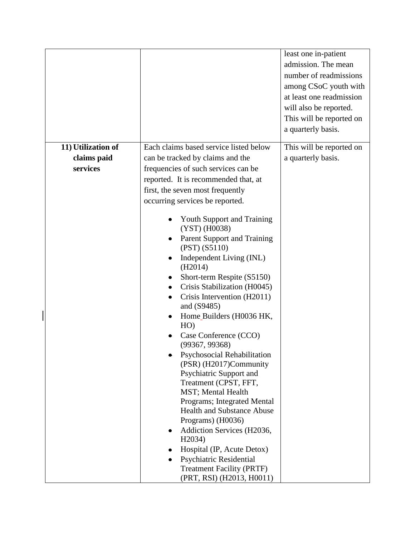|                    |                                                    | least one in-patient<br>admission. The mean<br>number of readmissions<br>among CSoC youth with<br>at least one readmission<br>will also be reported.<br>This will be reported on<br>a quarterly basis. |
|--------------------|----------------------------------------------------|--------------------------------------------------------------------------------------------------------------------------------------------------------------------------------------------------------|
| 11) Utilization of | Each claims based service listed below             | This will be reported on                                                                                                                                                                               |
| claims paid        | can be tracked by claims and the                   | a quarterly basis.                                                                                                                                                                                     |
| services           | frequencies of such services can be                |                                                                                                                                                                                                        |
|                    | reported. It is recommended that, at               |                                                                                                                                                                                                        |
|                    | first, the seven most frequently                   |                                                                                                                                                                                                        |
|                    | occurring services be reported.                    |                                                                                                                                                                                                        |
|                    | <b>Youth Support and Training</b><br>(YST) (H0038) |                                                                                                                                                                                                        |
|                    | Parent Support and Training<br>(PST) (S5110)       |                                                                                                                                                                                                        |
|                    | Independent Living (INL)<br>(H2014)                |                                                                                                                                                                                                        |
|                    | Short-term Respite (S5150)                         |                                                                                                                                                                                                        |
|                    | Crisis Stabilization (H0045)                       |                                                                                                                                                                                                        |
|                    | Crisis Intervention (H2011)<br>and $(S9485)$       |                                                                                                                                                                                                        |
|                    | Home_Builders (H0036 HK,<br>HO)                    |                                                                                                                                                                                                        |
|                    | Case Conference (CCO)<br>(99367, 99368)            |                                                                                                                                                                                                        |
|                    | Psychosocial Rehabilitation                        |                                                                                                                                                                                                        |
|                    | (PSR) (H2017)Community<br>Psychiatric Support and  |                                                                                                                                                                                                        |
|                    | Treatment (CPST, FFT,                              |                                                                                                                                                                                                        |
|                    | <b>MST</b> ; Mental Health                         |                                                                                                                                                                                                        |
|                    | Programs; Integrated Mental                        |                                                                                                                                                                                                        |
|                    | <b>Health and Substance Abuse</b>                  |                                                                                                                                                                                                        |
|                    | Programs) (H0036)                                  |                                                                                                                                                                                                        |
|                    | Addiction Services (H2036,<br>H2034)               |                                                                                                                                                                                                        |
|                    | Hospital (IP, Acute Detox)                         |                                                                                                                                                                                                        |
|                    | Psychiatric Residential                            |                                                                                                                                                                                                        |
|                    | <b>Treatment Facility (PRTF)</b>                   |                                                                                                                                                                                                        |
|                    | (PRT, RSI) (H2013, H0011)                          |                                                                                                                                                                                                        |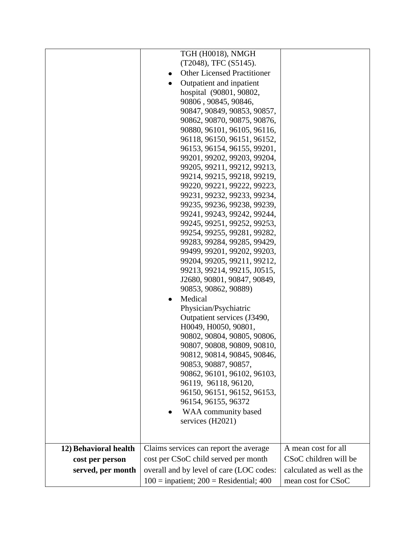|                       | TGH (H0018), NMGH                                          |                           |
|-----------------------|------------------------------------------------------------|---------------------------|
|                       | (T2048), TFC (S5145).                                      |                           |
|                       | <b>Other Licensed Practitioner</b>                         |                           |
|                       | Outpatient and inpatient                                   |                           |
|                       | hospital (90801, 90802,                                    |                           |
|                       | 90806, 90845, 90846,                                       |                           |
|                       | 90847, 90849, 90853, 90857,                                |                           |
|                       | 90862, 90870, 90875, 90876,                                |                           |
|                       | 90880, 96101, 96105, 96116,                                |                           |
|                       | 96118, 96150, 96151, 96152,                                |                           |
|                       | 96153, 96154, 96155, 99201,                                |                           |
|                       | 99201, 99202, 99203, 99204,                                |                           |
|                       | 99205, 99211, 99212, 99213,                                |                           |
|                       | 99214, 99215, 99218, 99219,                                |                           |
|                       | 99220, 99221, 99222, 99223,                                |                           |
|                       | 99231, 99232, 99233, 99234,                                |                           |
|                       | 99235, 99236, 99238, 99239,                                |                           |
|                       | 99241, 99243, 99242, 99244,                                |                           |
|                       | 99245, 99251, 99252, 99253,                                |                           |
|                       | 99254, 99255, 99281, 99282,                                |                           |
|                       | 99283, 99284, 99285, 99429,<br>99499, 99201, 99202, 99203, |                           |
|                       | 99204, 99205, 99211, 99212,                                |                           |
|                       | 99213, 99214, 99215, J0515,                                |                           |
|                       | J2680, 90801, 90847, 90849,                                |                           |
|                       | 90853, 90862, 90889)                                       |                           |
|                       | Medical<br>٠                                               |                           |
|                       | Physician/Psychiatric                                      |                           |
|                       | Outpatient services (J3490,                                |                           |
|                       | H0049, H0050, 90801,                                       |                           |
|                       | 90802, 90804, 90805, 90806,                                |                           |
|                       | 90807, 90808, 90809, 90810,                                |                           |
|                       | 90812, 90814, 90845, 90846,                                |                           |
|                       | 90853, 90887, 90857,                                       |                           |
|                       | 90862, 96101, 96102, 96103,                                |                           |
|                       | 96119, 96118, 96120,                                       |                           |
|                       | 96150, 96151, 96152, 96153,                                |                           |
|                       | 96154, 96155, 96372                                        |                           |
|                       | WAA community based                                        |                           |
|                       | services (H2021)                                           |                           |
|                       |                                                            |                           |
|                       |                                                            |                           |
| 12) Behavioral health | Claims services can report the average                     | A mean cost for all       |
| cost per person       | cost per CSoC child served per month                       | CSoC children will be     |
| served, per month     | overall and by level of care (LOC codes:                   | calculated as well as the |
|                       | $100 =$ inpatient; $200 =$ Residential; 400                | mean cost for CSoC        |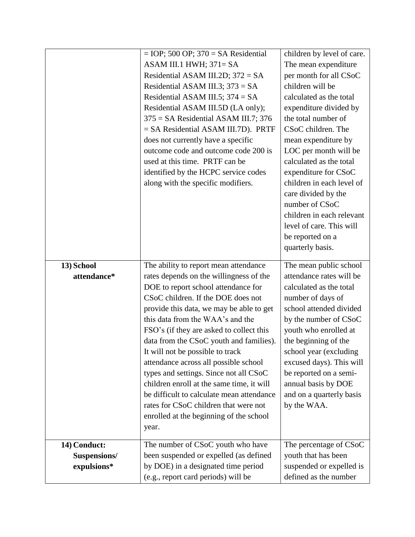|                             | $=$ IOP; 500 OP; 370 = SA Residential                                         | children by level of care.                      |
|-----------------------------|-------------------------------------------------------------------------------|-------------------------------------------------|
|                             | ASAM III.1 HWH; $371 = SA$                                                    | The mean expenditure                            |
|                             | Residential ASAM III.2D; $372 = SA$                                           | per month for all CSoC                          |
|                             | Residential ASAM III.3; $373 = SA$                                            | children will be                                |
|                             | Residential ASAM III.5; $374 = SA$                                            | calculated as the total                         |
|                             | Residential ASAM III.5D (LA only);                                            | expenditure divided by                          |
|                             | $375 = SA$ Residential ASAM III.7; 376                                        | the total number of                             |
|                             | $=$ SA Residential ASAM III.7D). PRTF                                         | CSoC children. The                              |
|                             | does not currently have a specific                                            | mean expenditure by                             |
|                             | outcome code and outcome code 200 is                                          | LOC per month will be                           |
|                             | used at this time. PRTF can be                                                | calculated as the total                         |
|                             | identified by the HCPC service codes                                          | expenditure for CSoC                            |
|                             | along with the specific modifiers.                                            | children in each level of                       |
|                             |                                                                               | care divided by the                             |
|                             |                                                                               | number of CSoC                                  |
|                             |                                                                               | children in each relevant                       |
|                             |                                                                               | level of care. This will                        |
|                             |                                                                               | be reported on a                                |
|                             |                                                                               | quarterly basis.                                |
|                             |                                                                               |                                                 |
| 13) School                  | The ability to report mean attendance                                         | The mean public school                          |
| attendance*                 | rates depends on the willingness of the                                       | attendance rates will be                        |
|                             | DOE to report school attendance for                                           | calculated as the total                         |
|                             | CSoC children. If the DOE does not                                            | number of days of                               |
|                             | provide this data, we may be able to get                                      | school attended divided                         |
|                             | this data from the WAA's and the                                              | by the number of CSoC                           |
|                             | FSO's (if they are asked to collect this                                      | youth who enrolled at                           |
|                             | data from the CSoC youth and families).                                       | the beginning of the                            |
|                             | It will not be possible to track                                              | school year (excluding                          |
|                             | attendance across all possible school                                         | excused days). This will                        |
|                             |                                                                               |                                                 |
|                             | types and settings. Since not all CSoC                                        | be reported on a semi-                          |
|                             | children enroll at the same time, it will                                     | annual basis by DOE                             |
|                             | be difficult to calculate mean attendance                                     | and on a quarterly basis                        |
|                             | rates for CSoC children that were not                                         | by the WAA.                                     |
|                             | enrolled at the beginning of the school                                       |                                                 |
|                             | year.                                                                         |                                                 |
|                             |                                                                               |                                                 |
| 14) Conduct:                | The number of CSoC youth who have                                             | The percentage of CSoC                          |
| Suspensions/<br>expulsions* | been suspended or expelled (as defined<br>by DOE) in a designated time period | youth that has been<br>suspended or expelled is |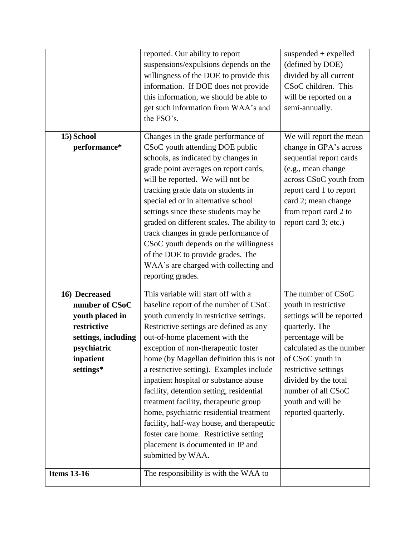|                     | reported. Our ability to report            | suspended $+$ expelled    |
|---------------------|--------------------------------------------|---------------------------|
|                     | suspensions/expulsions depends on the      | (defined by DOE)          |
|                     | willingness of the DOE to provide this     | divided by all current    |
|                     | information. If DOE does not provide       | CSoC children. This       |
|                     | this information, we should be able to     | will be reported on a     |
|                     | get such information from WAA's and        | semi-annually.            |
|                     | the FSO's.                                 |                           |
|                     |                                            |                           |
| 15) School          | Changes in the grade performance of        | We will report the mean   |
| performance*        | CSoC youth attending DOE public            | change in GPA's across    |
|                     | schools, as indicated by changes in        | sequential report cards   |
|                     | grade point averages on report cards,      | (e.g., mean change        |
|                     | will be reported. We will not be           | across CSoC youth from    |
|                     | tracking grade data on students in         | report card 1 to report   |
|                     | special ed or in alternative school        | card 2; mean change       |
|                     | settings since these students may be       | from report card 2 to     |
|                     | graded on different scales. The ability to | report card 3; etc.)      |
|                     | track changes in grade performance of      |                           |
|                     | CSoC youth depends on the willingness      |                           |
|                     | of the DOE to provide grades. The          |                           |
|                     | WAA's are charged with collecting and      |                           |
|                     | reporting grades.                          |                           |
| 16) Decreased       | This variable will start off with a        | The number of CSoC        |
| number of CSoC      | baseline report of the number of CSoC      | youth in restrictive      |
| youth placed in     | youth currently in restrictive settings.   | settings will be reported |
| restrictive         | Restrictive settings are defined as any    | quarterly. The            |
| settings, including | out-of-home placement with the             | percentage will be        |
| psychiatric         | exception of non-therapeutic foster        | calculated as the number  |
| inpatient           | home (by Magellan definition this is not   | of CSoC youth in          |
| settings*           | a restrictive setting). Examples include   | restrictive settings      |
|                     | inpatient hospital or substance abuse      | divided by the total      |
|                     | facility, detention setting, residential   | number of all CSoC        |
|                     | treatment facility, therapeutic group      | youth and will be         |
|                     | home, psychiatric residential treatment    | reported quarterly.       |
|                     | facility, half-way house, and therapeutic  |                           |
|                     | foster care home. Restrictive setting      |                           |
|                     | placement is documented in IP and          |                           |
|                     | submitted by WAA.                          |                           |
|                     |                                            |                           |
| <b>Items 13-16</b>  | The responsibility is with the WAA to      |                           |